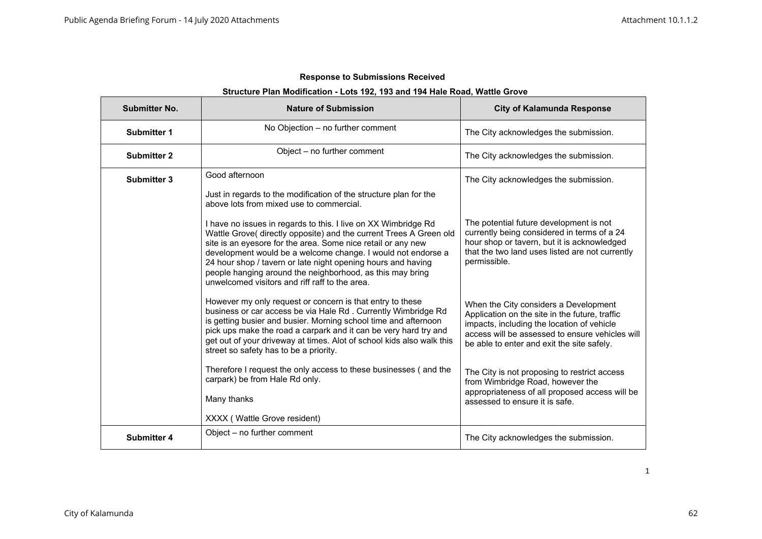| Structure Plan Modification - Lots 192, 193 and 194 Hale Road, Wattle Grove |                                                                                                                                                                                                                                                                                                                                                                                                                                                     |                                                                                                                                                                                                                                        |
|-----------------------------------------------------------------------------|-----------------------------------------------------------------------------------------------------------------------------------------------------------------------------------------------------------------------------------------------------------------------------------------------------------------------------------------------------------------------------------------------------------------------------------------------------|----------------------------------------------------------------------------------------------------------------------------------------------------------------------------------------------------------------------------------------|
| <b>Submitter No.</b>                                                        | <b>Nature of Submission</b>                                                                                                                                                                                                                                                                                                                                                                                                                         | <b>City of Kalamunda Response</b>                                                                                                                                                                                                      |
| <b>Submitter 1</b>                                                          | No Objection - no further comment                                                                                                                                                                                                                                                                                                                                                                                                                   | The City acknowledges the submission.                                                                                                                                                                                                  |
| <b>Submitter 2</b>                                                          | Object – no further comment                                                                                                                                                                                                                                                                                                                                                                                                                         | The City acknowledges the submission.                                                                                                                                                                                                  |
| <b>Submitter 3</b>                                                          | Good afternoon<br>Just in regards to the modification of the structure plan for the<br>above lots from mixed use to commercial.                                                                                                                                                                                                                                                                                                                     | The City acknowledges the submission.                                                                                                                                                                                                  |
|                                                                             | I have no issues in regards to this. I live on XX Wimbridge Rd<br>Wattle Grove( directly opposite) and the current Trees A Green old<br>site is an eyesore for the area. Some nice retail or any new<br>development would be a welcome change. I would not endorse a<br>24 hour shop / tavern or late night opening hours and having<br>people hanging around the neighborhood, as this may bring<br>unwelcomed visitors and riff raff to the area. | The potential future development is not<br>currently being considered in terms of a 24<br>hour shop or tavern, but it is acknowledged<br>that the two land uses listed are not currently<br>permissible.                               |
|                                                                             | However my only request or concern is that entry to these<br>business or car access be via Hale Rd. Currently Wimbridge Rd<br>is getting busier and busier. Morning school time and afternoon<br>pick ups make the road a carpark and it can be very hard try and<br>get out of your driveway at times. Alot of school kids also walk this<br>street so safety has to be a priority.                                                                | When the City considers a Development<br>Application on the site in the future, traffic<br>impacts, including the location of vehicle<br>access will be assessed to ensure vehicles will<br>be able to enter and exit the site safely. |
|                                                                             | Therefore I request the only access to these businesses (and the<br>carpark) be from Hale Rd only.<br>Many thanks<br>XXXX (Wattle Grove resident)                                                                                                                                                                                                                                                                                                   | The City is not proposing to restrict access<br>from Wimbridge Road, however the<br>appropriateness of all proposed access will be<br>assessed to ensure it is safe.                                                                   |
| <b>Submitter 4</b>                                                          | Object – no further comment                                                                                                                                                                                                                                                                                                                                                                                                                         | The City acknowledges the submission.                                                                                                                                                                                                  |

#### **Structure Plan Modification - Lots 192, 193 and 194 Hale Road, Wattle Grove**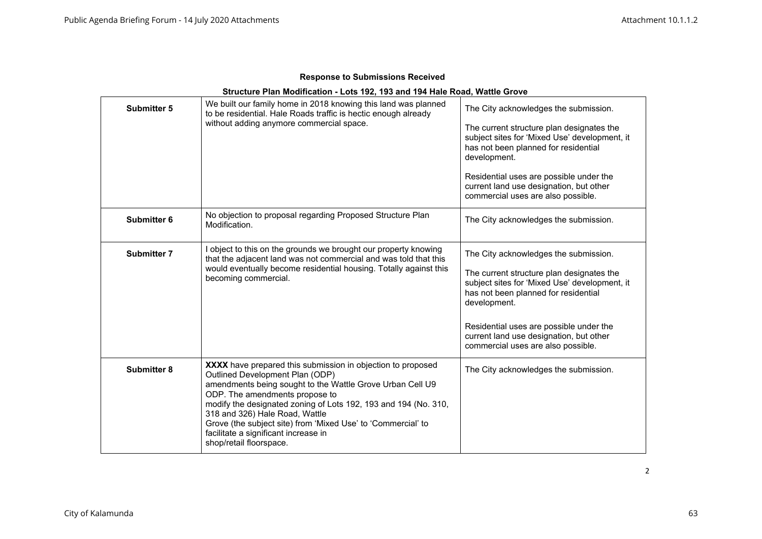|  | <b>Response to Submissions Received</b> |  |
|--|-----------------------------------------|--|
|--|-----------------------------------------|--|

| Structure Plan Modification - Lots 192, 193 and 194 Hale Road, Wattle Grove |                                                                                                                                                                                                                                                                                                                                                                                                                                       |                                                                                                                                                                                                                                                                                                                         |  |
|-----------------------------------------------------------------------------|---------------------------------------------------------------------------------------------------------------------------------------------------------------------------------------------------------------------------------------------------------------------------------------------------------------------------------------------------------------------------------------------------------------------------------------|-------------------------------------------------------------------------------------------------------------------------------------------------------------------------------------------------------------------------------------------------------------------------------------------------------------------------|--|
| <b>Submitter 5</b>                                                          | We built our family home in 2018 knowing this land was planned<br>to be residential. Hale Roads traffic is hectic enough already<br>without adding anymore commercial space.                                                                                                                                                                                                                                                          | The City acknowledges the submission.<br>The current structure plan designates the<br>subject sites for 'Mixed Use' development, it<br>has not been planned for residential<br>development.<br>Residential uses are possible under the<br>current land use designation, but other<br>commercial uses are also possible. |  |
| Submitter 6                                                                 | No objection to proposal regarding Proposed Structure Plan<br>Modification.                                                                                                                                                                                                                                                                                                                                                           | The City acknowledges the submission.                                                                                                                                                                                                                                                                                   |  |
| <b>Submitter 7</b>                                                          | I object to this on the grounds we brought our property knowing<br>that the adjacent land was not commercial and was told that this<br>would eventually become residential housing. Totally against this<br>becoming commercial.                                                                                                                                                                                                      | The City acknowledges the submission.<br>The current structure plan designates the<br>subject sites for 'Mixed Use' development, it<br>has not been planned for residential<br>development.<br>Residential uses are possible under the<br>current land use designation, but other<br>commercial uses are also possible. |  |
| <b>Submitter 8</b>                                                          | XXXX have prepared this submission in objection to proposed<br>Outlined Development Plan (ODP)<br>amendments being sought to the Wattle Grove Urban Cell U9<br>ODP. The amendments propose to<br>modify the designated zoning of Lots 192, 193 and 194 (No. 310,<br>318 and 326) Hale Road, Wattle<br>Grove (the subject site) from 'Mixed Use' to 'Commercial' to<br>facilitate a significant increase in<br>shop/retail floorspace. | The City acknowledges the submission.                                                                                                                                                                                                                                                                                   |  |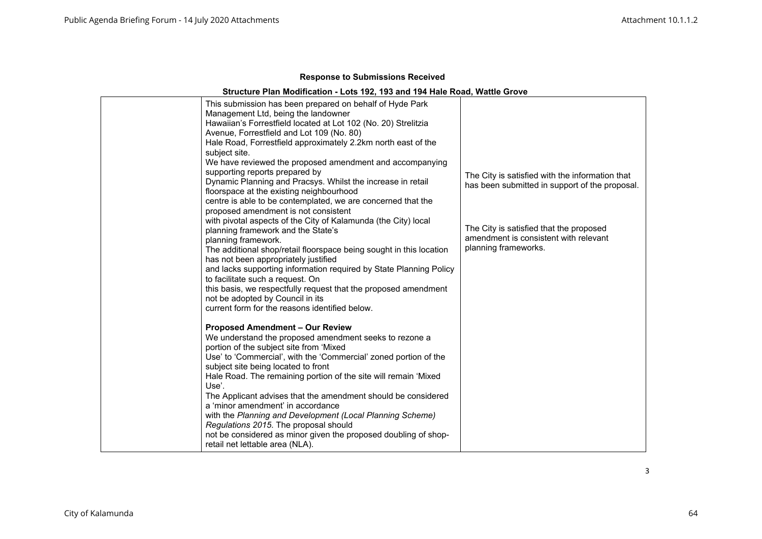## **Structure Plan Modification - Lots 192, 193 and 194 Hale Road, Wattle Grove**

| This submission has been prepared on behalf of Hyde Park<br>Management Ltd, being the landowner<br>Hawaiian's Forrestfield located at Lot 102 (No. 20) Strelitzia<br>Avenue, Forrestfield and Lot 109 (No. 80)<br>Hale Road, Forrestfield approximately 2.2km north east of the<br>subject site.<br>We have reviewed the proposed amendment and accompanying                                                                                                                                                                                                                                                                                         |                                                                                                          |
|------------------------------------------------------------------------------------------------------------------------------------------------------------------------------------------------------------------------------------------------------------------------------------------------------------------------------------------------------------------------------------------------------------------------------------------------------------------------------------------------------------------------------------------------------------------------------------------------------------------------------------------------------|----------------------------------------------------------------------------------------------------------|
| supporting reports prepared by<br>Dynamic Planning and Pracsys. Whilst the increase in retail<br>floorspace at the existing neighbourhood<br>centre is able to be contemplated, we are concerned that the<br>proposed amendment is not consistent                                                                                                                                                                                                                                                                                                                                                                                                    | The City is satisfied with the information that<br>has been submitted in support of the proposal.        |
| with pivotal aspects of the City of Kalamunda (the City) local<br>planning framework and the State's<br>planning framework.<br>The additional shop/retail floorspace being sought in this location<br>has not been appropriately justified<br>and lacks supporting information required by State Planning Policy<br>to facilitate such a request. On<br>this basis, we respectfully request that the proposed amendment<br>not be adopted by Council in its<br>current form for the reasons identified below.                                                                                                                                        | The City is satisfied that the proposed<br>amendment is consistent with relevant<br>planning frameworks. |
| <b>Proposed Amendment - Our Review</b><br>We understand the proposed amendment seeks to rezone a<br>portion of the subject site from 'Mixed<br>Use' to 'Commercial', with the 'Commercial' zoned portion of the<br>subject site being located to front<br>Hale Road. The remaining portion of the site will remain 'Mixed<br>Use'.<br>The Applicant advises that the amendment should be considered<br>a 'minor amendment' in accordance<br>with the Planning and Development (Local Planning Scheme)<br>Regulations 2015. The proposal should<br>not be considered as minor given the proposed doubling of shop-<br>retail net lettable area (NLA). |                                                                                                          |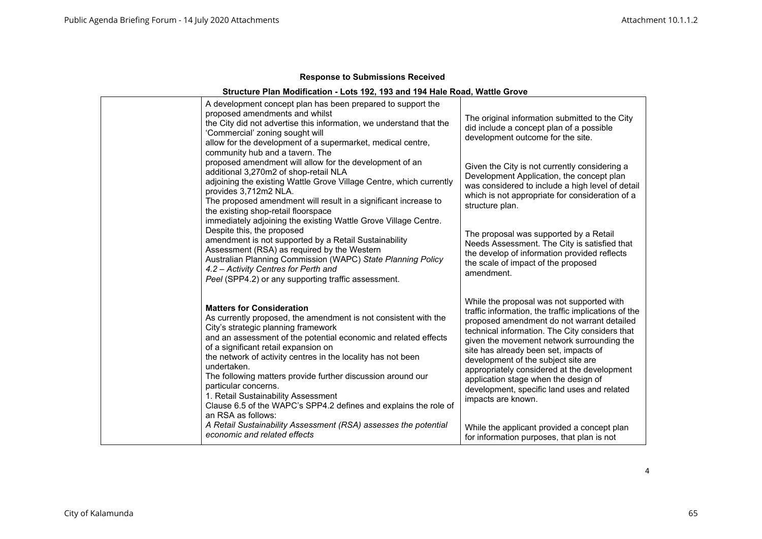## **Structure Plan Modification - Lots 192, 193 and 194 Hale Road, Wattle Grove**

| A development concept plan has been prepared to support the<br>proposed amendments and whilst<br>the City did not advertise this information, we understand that the<br>'Commercial' zoning sought will<br>allow for the development of a supermarket, medical centre,<br>community hub and a tavern. The                                                                                                                                                                                                                                                    | The original information submitted to the City<br>did include a concept plan of a possible<br>development outcome for the site.                                                                                                                                                                                                                                                                                                                                                             |
|--------------------------------------------------------------------------------------------------------------------------------------------------------------------------------------------------------------------------------------------------------------------------------------------------------------------------------------------------------------------------------------------------------------------------------------------------------------------------------------------------------------------------------------------------------------|---------------------------------------------------------------------------------------------------------------------------------------------------------------------------------------------------------------------------------------------------------------------------------------------------------------------------------------------------------------------------------------------------------------------------------------------------------------------------------------------|
| proposed amendment will allow for the development of an<br>additional 3,270m2 of shop-retail NLA<br>adjoining the existing Wattle Grove Village Centre, which currently<br>provides 3,712m2 NLA.<br>The proposed amendment will result in a significant increase to<br>the existing shop-retail floorspace                                                                                                                                                                                                                                                   | Given the City is not currently considering a<br>Development Application, the concept plan<br>was considered to include a high level of detail<br>which is not appropriate for consideration of a<br>structure plan.                                                                                                                                                                                                                                                                        |
| immediately adjoining the existing Wattle Grove Village Centre.<br>Despite this, the proposed<br>amendment is not supported by a Retail Sustainability<br>Assessment (RSA) as required by the Western<br>Australian Planning Commission (WAPC) State Planning Policy<br>4.2 - Activity Centres for Perth and<br>Peel (SPP4.2) or any supporting traffic assessment.                                                                                                                                                                                          | The proposal was supported by a Retail<br>Needs Assessment. The City is satisfied that<br>the develop of information provided reflects<br>the scale of impact of the proposed<br>amendment.                                                                                                                                                                                                                                                                                                 |
| <b>Matters for Consideration</b><br>As currently proposed, the amendment is not consistent with the<br>City's strategic planning framework<br>and an assessment of the potential economic and related effects<br>of a significant retail expansion on<br>the network of activity centres in the locality has not been<br>undertaken.<br>The following matters provide further discussion around our<br>particular concerns.<br>1. Retail Sustainability Assessment<br>Clause 6.5 of the WAPC's SPP4.2 defines and explains the role of<br>an RSA as follows: | While the proposal was not supported with<br>traffic information, the traffic implications of the<br>proposed amendment do not warrant detailed<br>technical information. The City considers that<br>given the movement network surrounding the<br>site has already been set, impacts of<br>development of the subject site are<br>appropriately considered at the development<br>application stage when the design of<br>development, specific land uses and related<br>impacts are known. |
| A Retail Sustainability Assessment (RSA) assesses the potential<br>economic and related effects                                                                                                                                                                                                                                                                                                                                                                                                                                                              | While the applicant provided a concept plan<br>for information purposes, that plan is not                                                                                                                                                                                                                                                                                                                                                                                                   |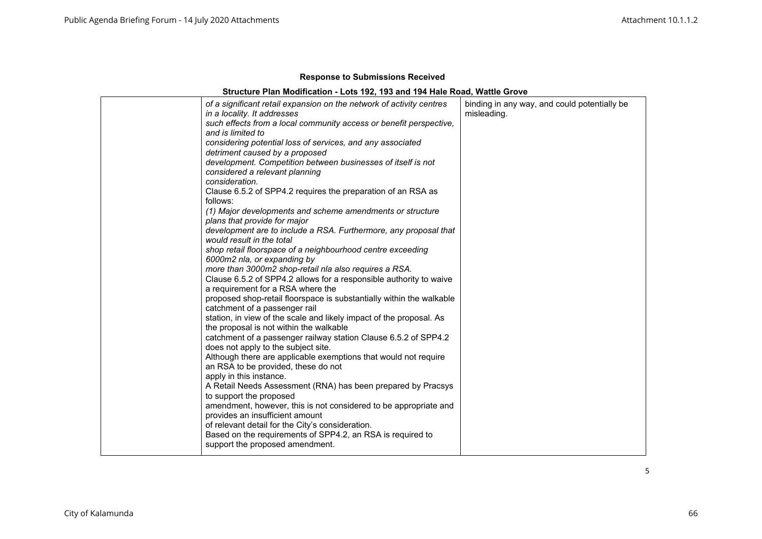## **Structure Plan Modification - Lots 192, 193 and 194 Hale Road, Wattle Grove**

|  | of a significant retail expansion on the network of activity centres<br>in a locality. It addresses<br>such effects from a local community access or benefit perspective,<br>and is limited to<br>considering potential loss of services, and any associated<br>detriment caused by a proposed<br>development. Competition between businesses of itself is not<br>considered a relevant planning<br>consideration.<br>Clause 6.5.2 of SPP4.2 requires the preparation of an RSA as<br>follows:<br>(1) Major developments and scheme amendments or structure<br>plans that provide for major<br>development are to include a RSA. Furthermore, any proposal that<br>would result in the total<br>shop retail floorspace of a neighbourhood centre exceeding<br>6000m2 nla, or expanding by<br>more than 3000m2 shop-retail nla also requires a RSA.<br>Clause 6.5.2 of SPP4.2 allows for a responsible authority to waive<br>a requirement for a RSA where the<br>proposed shop-retail floorspace is substantially within the walkable<br>catchment of a passenger rail<br>station, in view of the scale and likely impact of the proposal. As<br>the proposal is not within the walkable<br>catchment of a passenger railway station Clause 6.5.2 of SPP4.2<br>does not apply to the subject site.<br>Although there are applicable exemptions that would not require<br>an RSA to be provided, these do not<br>apply in this instance.<br>A Retail Needs Assessment (RNA) has been prepared by Pracsys<br>to support the proposed<br>amendment, however, this is not considered to be appropriate and<br>provides an insufficient amount<br>of relevant detail for the City's consideration.<br>Based on the requirements of SPP4.2, an RSA is required to<br>support the proposed amendment. | binding in any way, and could potentially be<br>misleading. |
|--|------------------------------------------------------------------------------------------------------------------------------------------------------------------------------------------------------------------------------------------------------------------------------------------------------------------------------------------------------------------------------------------------------------------------------------------------------------------------------------------------------------------------------------------------------------------------------------------------------------------------------------------------------------------------------------------------------------------------------------------------------------------------------------------------------------------------------------------------------------------------------------------------------------------------------------------------------------------------------------------------------------------------------------------------------------------------------------------------------------------------------------------------------------------------------------------------------------------------------------------------------------------------------------------------------------------------------------------------------------------------------------------------------------------------------------------------------------------------------------------------------------------------------------------------------------------------------------------------------------------------------------------------------------------------------------------------------------------------------------------------------------------------------------------------|-------------------------------------------------------------|
|--|------------------------------------------------------------------------------------------------------------------------------------------------------------------------------------------------------------------------------------------------------------------------------------------------------------------------------------------------------------------------------------------------------------------------------------------------------------------------------------------------------------------------------------------------------------------------------------------------------------------------------------------------------------------------------------------------------------------------------------------------------------------------------------------------------------------------------------------------------------------------------------------------------------------------------------------------------------------------------------------------------------------------------------------------------------------------------------------------------------------------------------------------------------------------------------------------------------------------------------------------------------------------------------------------------------------------------------------------------------------------------------------------------------------------------------------------------------------------------------------------------------------------------------------------------------------------------------------------------------------------------------------------------------------------------------------------------------------------------------------------------------------------------------------------|-------------------------------------------------------------|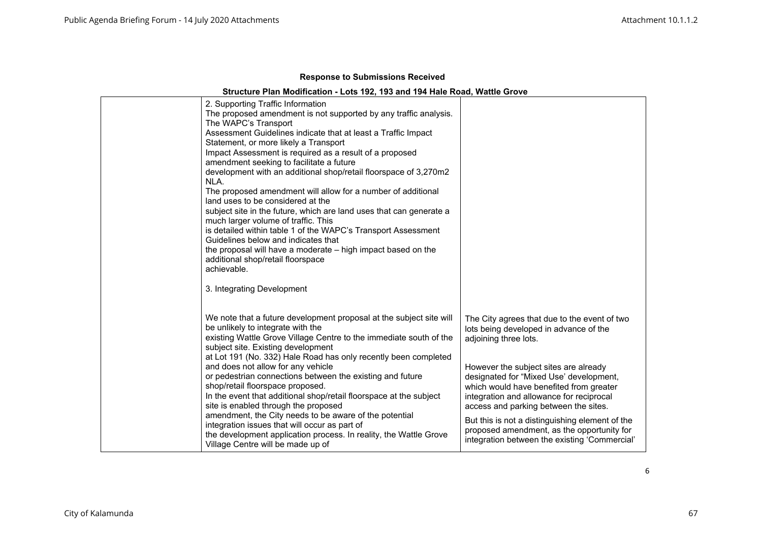## **Structure Plan Modification - Lots 192, 193 and 194 Hale Road, Wattle Grove**

| 2. Supporting Traffic Information                                                                     |                                                                                  |
|-------------------------------------------------------------------------------------------------------|----------------------------------------------------------------------------------|
| The proposed amendment is not supported by any traffic analysis.<br>The WAPC's Transport              |                                                                                  |
| Assessment Guidelines indicate that at least a Traffic Impact                                         |                                                                                  |
| Statement, or more likely a Transport                                                                 |                                                                                  |
| Impact Assessment is required as a result of a proposed                                               |                                                                                  |
| amendment seeking to facilitate a future                                                              |                                                                                  |
| development with an additional shop/retail floorspace of 3,270m2                                      |                                                                                  |
| NLA.                                                                                                  |                                                                                  |
| The proposed amendment will allow for a number of additional                                          |                                                                                  |
| land uses to be considered at the                                                                     |                                                                                  |
| subject site in the future, which are land uses that can generate a                                   |                                                                                  |
| much larger volume of traffic. This                                                                   |                                                                                  |
| is detailed within table 1 of the WAPC's Transport Assessment                                         |                                                                                  |
| Guidelines below and indicates that                                                                   |                                                                                  |
| the proposal will have a moderate – high impact based on the                                          |                                                                                  |
| additional shop/retail floorspace                                                                     |                                                                                  |
| achievable.                                                                                           |                                                                                  |
| 3. Integrating Development                                                                            |                                                                                  |
|                                                                                                       |                                                                                  |
|                                                                                                       |                                                                                  |
| We note that a future development proposal at the subject site will                                   | The City agrees that due to the event of two                                     |
| be unlikely to integrate with the                                                                     | lots being developed in advance of the                                           |
| existing Wattle Grove Village Centre to the immediate south of the                                    | adjoining three lots.                                                            |
| subject site. Existing development                                                                    |                                                                                  |
| at Lot 191 (No. 332) Hale Road has only recently been completed<br>and does not allow for any vehicle |                                                                                  |
| or pedestrian connections between the existing and future                                             | However the subject sites are already<br>designated for "Mixed Use' development, |
| shop/retail floorspace proposed.                                                                      | which would have benefited from greater                                          |
| In the event that additional shop/retail floorspace at the subject                                    | integration and allowance for reciprocal                                         |
| site is enabled through the proposed                                                                  | access and parking between the sites.                                            |
| amendment, the City needs to be aware of the potential                                                |                                                                                  |
| integration issues that will occur as part of                                                         | But this is not a distinguishing element of the                                  |
| the development application process. In reality, the Wattle Grove                                     | proposed amendment, as the opportunity for                                       |
| Village Centre will be made up of                                                                     | integration between the existing 'Commercial'                                    |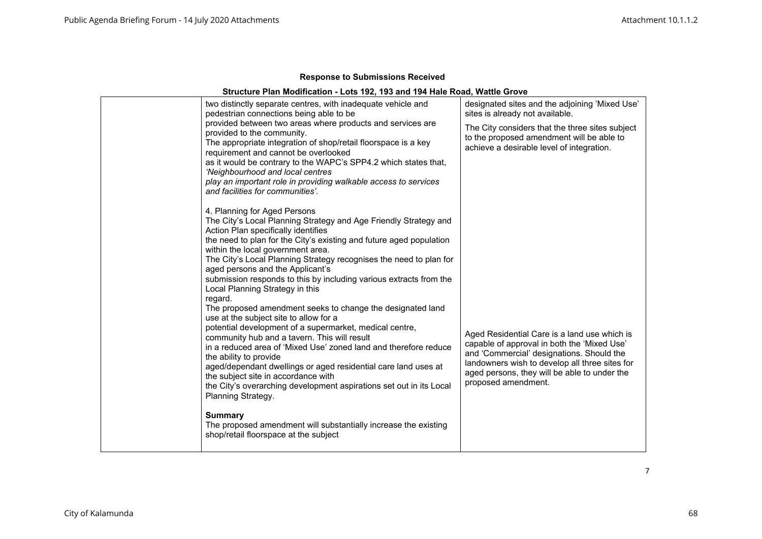## **Structure Plan Modification - Lots 192, 193 and 194 Hale Road, Wattle Grove**

| two distinctly separate centres, with inadequate vehicle and<br>pedestrian connections being able to be                                                                                                                                                                                                                                                                                                                                                                                                                        | designated sites and the adjoining 'Mixed Use'<br>sites is already not available.                                                                                                                                                                                 |
|--------------------------------------------------------------------------------------------------------------------------------------------------------------------------------------------------------------------------------------------------------------------------------------------------------------------------------------------------------------------------------------------------------------------------------------------------------------------------------------------------------------------------------|-------------------------------------------------------------------------------------------------------------------------------------------------------------------------------------------------------------------------------------------------------------------|
| provided between two areas where products and services are<br>provided to the community.<br>The appropriate integration of shop/retail floorspace is a key<br>requirement and cannot be overlooked<br>as it would be contrary to the WAPC's SPP4.2 which states that,<br>'Neighbourhood and local centres<br>play an important role in providing walkable access to services<br>and facilities for communities'.                                                                                                               | The City considers that the three sites subject<br>to the proposed amendment will be able to<br>achieve a desirable level of integration.                                                                                                                         |
| 4. Planning for Aged Persons<br>The City's Local Planning Strategy and Age Friendly Strategy and<br>Action Plan specifically identifies<br>the need to plan for the City's existing and future aged population<br>within the local government area.<br>The City's Local Planning Strategy recognises the need to plan for<br>aged persons and the Applicant's<br>submission responds to this by including various extracts from the<br>Local Planning Strategy in this                                                         |                                                                                                                                                                                                                                                                   |
| regard.<br>The proposed amendment seeks to change the designated land<br>use at the subject site to allow for a<br>potential development of a supermarket, medical centre,<br>community hub and a tavern. This will result<br>in a reduced area of 'Mixed Use' zoned land and therefore reduce<br>the ability to provide<br>aged/dependant dwellings or aged residential care land uses at<br>the subject site in accordance with<br>the City's overarching development aspirations set out in its Local<br>Planning Strategy. | Aged Residential Care is a land use which is<br>capable of approval in both the 'Mixed Use'<br>and 'Commercial' designations. Should the<br>landowners wish to develop all three sites for<br>aged persons, they will be able to under the<br>proposed amendment. |
| <b>Summary</b><br>The proposed amendment will substantially increase the existing<br>shop/retail floorspace at the subject                                                                                                                                                                                                                                                                                                                                                                                                     |                                                                                                                                                                                                                                                                   |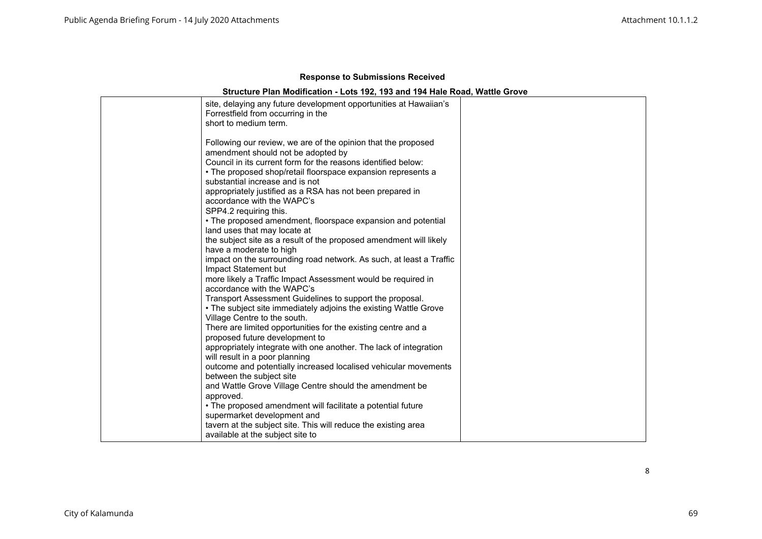## **Structure Plan Modification - Lots 192, 193 and 194 Hale Road, Wattle Grove**

| site, delaying any future development opportunities at Hawaiian's<br>Forrestfield from occurring in the<br>short to medium term.                                                                                                                                                                                                                                                                                                                                                             |  |
|----------------------------------------------------------------------------------------------------------------------------------------------------------------------------------------------------------------------------------------------------------------------------------------------------------------------------------------------------------------------------------------------------------------------------------------------------------------------------------------------|--|
| Following our review, we are of the opinion that the proposed<br>amendment should not be adopted by<br>Council in its current form for the reasons identified below:<br>• The proposed shop/retail floorspace expansion represents a<br>substantial increase and is not<br>appropriately justified as a RSA has not been prepared in<br>accordance with the WAPC's<br>SPP4.2 requiring this.<br>• The proposed amendment, floorspace expansion and potential<br>land uses that may locate at |  |
| the subject site as a result of the proposed amendment will likely<br>have a moderate to high<br>impact on the surrounding road network. As such, at least a Traffic<br>Impact Statement but<br>more likely a Traffic Impact Assessment would be required in<br>accordance with the WAPC's<br>Transport Assessment Guidelines to support the proposal.                                                                                                                                       |  |
| • The subject site immediately adjoins the existing Wattle Grove<br>Village Centre to the south.<br>There are limited opportunities for the existing centre and a<br>proposed future development to<br>appropriately integrate with one another. The lack of integration<br>will result in a poor planning<br>outcome and potentially increased localised vehicular movements                                                                                                                |  |
| between the subject site<br>and Wattle Grove Village Centre should the amendment be<br>approved.<br>• The proposed amendment will facilitate a potential future<br>supermarket development and<br>tavern at the subject site. This will reduce the existing area<br>available at the subject site to                                                                                                                                                                                         |  |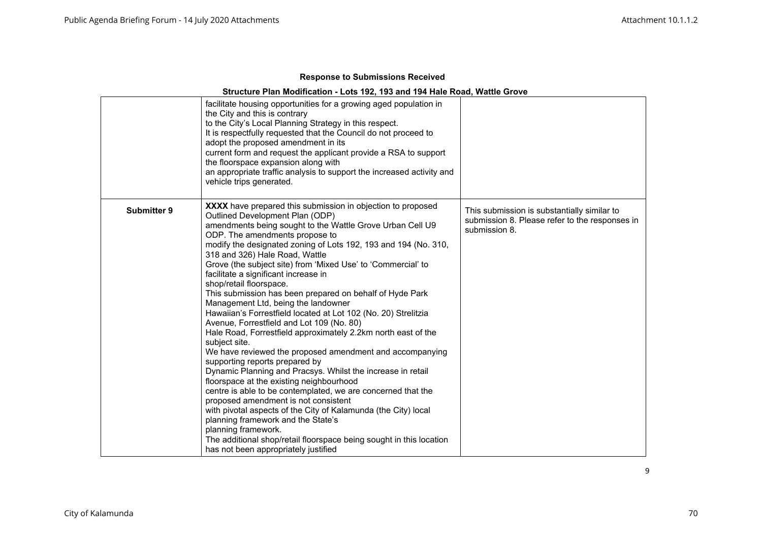|                    | facilitate housing opportunities for a growing aged population in<br>the City and this is contrary<br>to the City's Local Planning Strategy in this respect.<br>It is respectfully requested that the Council do not proceed to<br>adopt the proposed amendment in its<br>current form and request the applicant provide a RSA to support<br>the floorspace expansion along with<br>an appropriate traffic analysis to support the increased activity and<br>vehicle trips generated.                                                                                                                                                                                                                                                                                                                                                                                                                                                                                                                                                                                                                                                                                                                                                                                                                           |                                                                                                                |
|--------------------|-----------------------------------------------------------------------------------------------------------------------------------------------------------------------------------------------------------------------------------------------------------------------------------------------------------------------------------------------------------------------------------------------------------------------------------------------------------------------------------------------------------------------------------------------------------------------------------------------------------------------------------------------------------------------------------------------------------------------------------------------------------------------------------------------------------------------------------------------------------------------------------------------------------------------------------------------------------------------------------------------------------------------------------------------------------------------------------------------------------------------------------------------------------------------------------------------------------------------------------------------------------------------------------------------------------------|----------------------------------------------------------------------------------------------------------------|
| <b>Submitter 9</b> | <b>XXXX</b> have prepared this submission in objection to proposed<br>Outlined Development Plan (ODP)<br>amendments being sought to the Wattle Grove Urban Cell U9<br>ODP. The amendments propose to<br>modify the designated zoning of Lots 192, 193 and 194 (No. 310,<br>318 and 326) Hale Road, Wattle<br>Grove (the subject site) from 'Mixed Use' to 'Commercial' to<br>facilitate a significant increase in<br>shop/retail floorspace.<br>This submission has been prepared on behalf of Hyde Park<br>Management Ltd, being the landowner<br>Hawaiian's Forrestfield located at Lot 102 (No. 20) Strelitzia<br>Avenue, Forrestfield and Lot 109 (No. 80)<br>Hale Road, Forrestfield approximately 2.2km north east of the<br>subject site.<br>We have reviewed the proposed amendment and accompanying<br>supporting reports prepared by<br>Dynamic Planning and Pracsys. Whilst the increase in retail<br>floorspace at the existing neighbourhood<br>centre is able to be contemplated, we are concerned that the<br>proposed amendment is not consistent<br>with pivotal aspects of the City of Kalamunda (the City) local<br>planning framework and the State's<br>planning framework.<br>The additional shop/retail floorspace being sought in this location<br>has not been appropriately justified | This submission is substantially similar to<br>submission 8. Please refer to the responses in<br>submission 8. |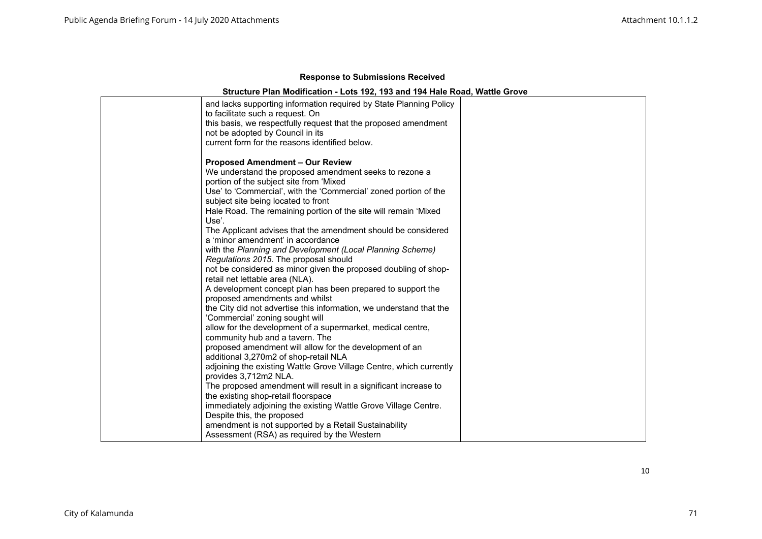|  | <b>Response to Submissions Received</b> |  |
|--|-----------------------------------------|--|
|--|-----------------------------------------|--|

#### **Structure Plan Modification - Lots 192, 193 and 194 Hale Road, Wattle Grove**

| and lacks supporting information required by State Planning Policy<br>to facilitate such a request. On<br>this basis, we respectfully request that the proposed amendment<br>not be adopted by Council in its<br>current form for the reasons identified below.                                                                                                      |  |
|----------------------------------------------------------------------------------------------------------------------------------------------------------------------------------------------------------------------------------------------------------------------------------------------------------------------------------------------------------------------|--|
| <b>Proposed Amendment - Our Review</b><br>We understand the proposed amendment seeks to rezone a<br>portion of the subject site from 'Mixed<br>Use' to 'Commercial', with the 'Commercial' zoned portion of the<br>subject site being located to front<br>Hale Road. The remaining portion of the site will remain 'Mixed<br>Use'.                                   |  |
| The Applicant advises that the amendment should be considered<br>a 'minor amendment' in accordance<br>with the Planning and Development (Local Planning Scheme)<br>Regulations 2015. The proposal should<br>not be considered as minor given the proposed doubling of shop-<br>retail net lettable area (NLA).                                                       |  |
| A development concept plan has been prepared to support the<br>proposed amendments and whilst<br>the City did not advertise this information, we understand that the<br>'Commercial' zoning sought will<br>allow for the development of a supermarket, medical centre,<br>community hub and a tavern. The<br>proposed amendment will allow for the development of an |  |
| additional 3,270m2 of shop-retail NLA<br>adjoining the existing Wattle Grove Village Centre, which currently<br>provides 3,712m2 NLA.<br>The proposed amendment will result in a significant increase to<br>the existing shop-retail floorspace<br>immediately adjoining the existing Wattle Grove Village Centre.                                                   |  |
| Despite this, the proposed<br>amendment is not supported by a Retail Sustainability<br>Assessment (RSA) as required by the Western                                                                                                                                                                                                                                   |  |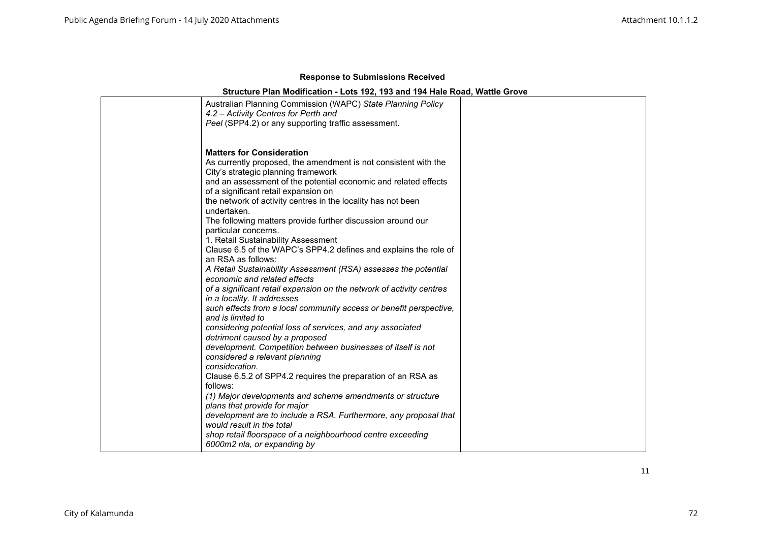| Australian Planning Commission (WAPC) State Planning Policy<br>4.2 - Activity Centres for Perth and<br>Peel (SPP4.2) or any supporting traffic assessment. |  |
|------------------------------------------------------------------------------------------------------------------------------------------------------------|--|
| <b>Matters for Consideration</b>                                                                                                                           |  |
| As currently proposed, the amendment is not consistent with the                                                                                            |  |
| City's strategic planning framework                                                                                                                        |  |
| and an assessment of the potential economic and related effects                                                                                            |  |
| of a significant retail expansion on                                                                                                                       |  |
| the network of activity centres in the locality has not been                                                                                               |  |
| undertaken.                                                                                                                                                |  |
| The following matters provide further discussion around our                                                                                                |  |
| particular concerns.                                                                                                                                       |  |
| 1. Retail Sustainability Assessment                                                                                                                        |  |
| Clause 6.5 of the WAPC's SPP4.2 defines and explains the role of                                                                                           |  |
| an RSA as follows:                                                                                                                                         |  |
| A Retail Sustainability Assessment (RSA) assesses the potential                                                                                            |  |
| economic and related effects                                                                                                                               |  |
| of a significant retail expansion on the network of activity centres                                                                                       |  |
| in a locality. It addresses                                                                                                                                |  |
| such effects from a local community access or benefit perspective,                                                                                         |  |
| and is limited to                                                                                                                                          |  |
| considering potential loss of services, and any associated                                                                                                 |  |
| detriment caused by a proposed                                                                                                                             |  |
| development. Competition between businesses of itself is not                                                                                               |  |
| considered a relevant planning<br>consideration.                                                                                                           |  |
| Clause 6.5.2 of SPP4.2 requires the preparation of an RSA as                                                                                               |  |
| follows:                                                                                                                                                   |  |
| (1) Major developments and scheme amendments or structure                                                                                                  |  |
| plans that provide for major                                                                                                                               |  |
| development are to include a RSA. Furthermore, any proposal that                                                                                           |  |
| would result in the total                                                                                                                                  |  |
| shop retail floorspace of a neighbourhood centre exceeding                                                                                                 |  |
| 6000m2 nla, or expanding by                                                                                                                                |  |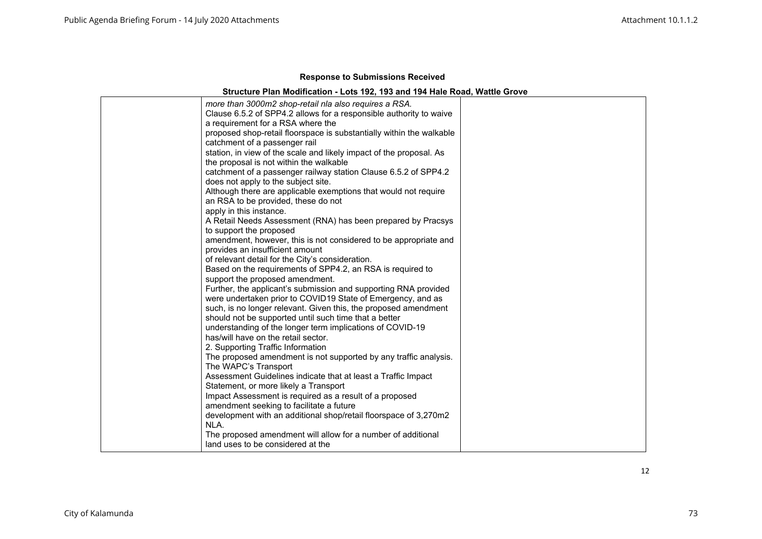| more than 3000m2 shop-retail nla also requires a RSA.                |
|----------------------------------------------------------------------|
| Clause 6.5.2 of SPP4.2 allows for a responsible authority to waive   |
| a requirement for a RSA where the                                    |
| proposed shop-retail floorspace is substantially within the walkable |
| catchment of a passenger rail                                        |
| station, in view of the scale and likely impact of the proposal. As  |
| the proposal is not within the walkable                              |
| catchment of a passenger railway station Clause 6.5.2 of SPP4.2      |
| does not apply to the subject site.                                  |
| Although there are applicable exemptions that would not require      |
| an RSA to be provided, these do not                                  |
| apply in this instance.                                              |
| A Retail Needs Assessment (RNA) has been prepared by Pracsys         |
| to support the proposed                                              |
| amendment, however, this is not considered to be appropriate and     |
| provides an insufficient amount                                      |
| of relevant detail for the City's consideration.                     |
| Based on the requirements of SPP4.2, an RSA is required to           |
| support the proposed amendment.                                      |
| Further, the applicant's submission and supporting RNA provided      |
| were undertaken prior to COVID19 State of Emergency, and as          |
| such, is no longer relevant. Given this, the proposed amendment      |
| should not be supported until such time that a better                |
| understanding of the longer term implications of COVID-19            |
| has/will have on the retail sector.                                  |
| 2. Supporting Traffic Information                                    |
| The proposed amendment is not supported by any traffic analysis.     |
| The WAPC's Transport                                                 |
| Assessment Guidelines indicate that at least a Traffic Impact        |
| Statement, or more likely a Transport                                |
| Impact Assessment is required as a result of a proposed              |
| amendment seeking to facilitate a future                             |
| development with an additional shop/retail floorspace of 3,270m2     |
| NLA.                                                                 |
| The proposed amendment will allow for a number of additional         |
| land uses to be considered at the                                    |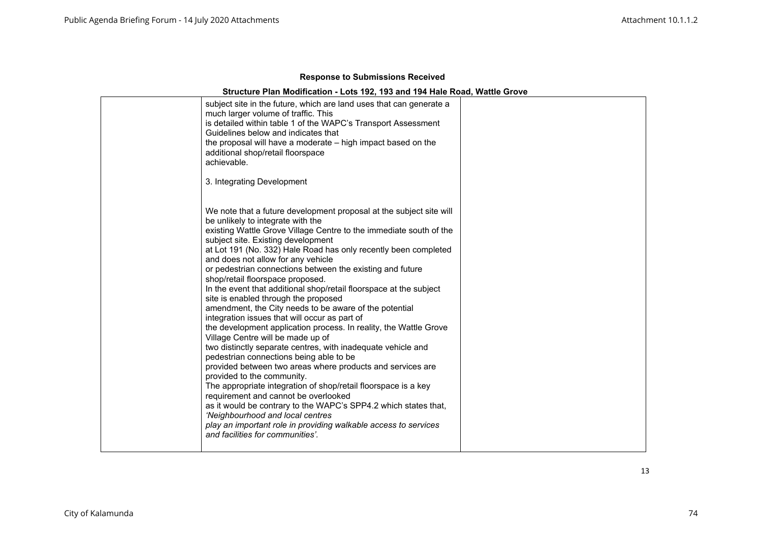| subject site in the future, which are land uses that can generate a<br>much larger volume of traffic. This<br>is detailed within table 1 of the WAPC's Transport Assessment<br>Guidelines below and indicates that<br>the proposal will have a moderate - high impact based on the<br>additional shop/retail floorspace<br>achievable.<br>3. Integrating Development                                                                                                                                                                                                                                                                                                                                                                                                                                                                                                                                                                                                                                                                                                                                                                                                                                                                                                                             |  |
|--------------------------------------------------------------------------------------------------------------------------------------------------------------------------------------------------------------------------------------------------------------------------------------------------------------------------------------------------------------------------------------------------------------------------------------------------------------------------------------------------------------------------------------------------------------------------------------------------------------------------------------------------------------------------------------------------------------------------------------------------------------------------------------------------------------------------------------------------------------------------------------------------------------------------------------------------------------------------------------------------------------------------------------------------------------------------------------------------------------------------------------------------------------------------------------------------------------------------------------------------------------------------------------------------|--|
| We note that a future development proposal at the subject site will<br>be unlikely to integrate with the<br>existing Wattle Grove Village Centre to the immediate south of the<br>subject site. Existing development<br>at Lot 191 (No. 332) Hale Road has only recently been completed<br>and does not allow for any vehicle<br>or pedestrian connections between the existing and future<br>shop/retail floorspace proposed.<br>In the event that additional shop/retail floorspace at the subject<br>site is enabled through the proposed<br>amendment, the City needs to be aware of the potential<br>integration issues that will occur as part of<br>the development application process. In reality, the Wattle Grove<br>Village Centre will be made up of<br>two distinctly separate centres, with inadequate vehicle and<br>pedestrian connections being able to be<br>provided between two areas where products and services are<br>provided to the community.<br>The appropriate integration of shop/retail floorspace is a key<br>requirement and cannot be overlooked<br>as it would be contrary to the WAPC's SPP4.2 which states that,<br>'Neighbourhood and local centres<br>play an important role in providing walkable access to services<br>and facilities for communities'. |  |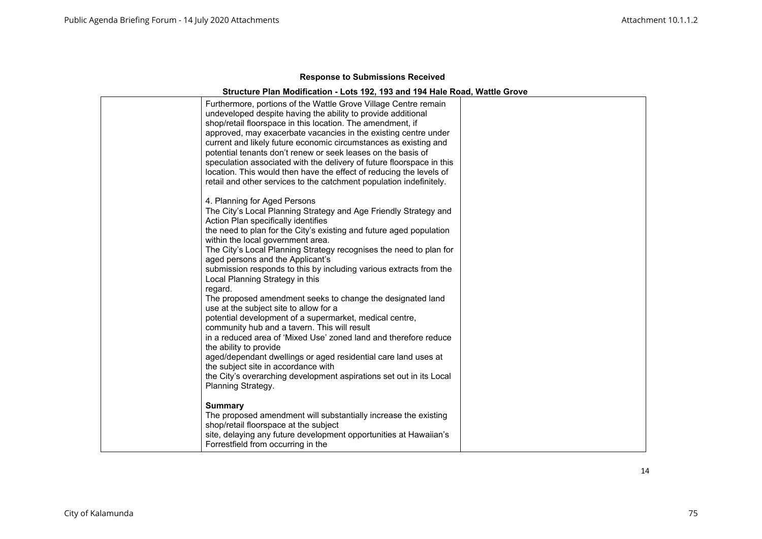| Furthermore, portions of the Wattle Grove Village Centre remain<br>undeveloped despite having the ability to provide additional<br>shop/retail floorspace in this location. The amendment, if<br>approved, may exacerbate vacancies in the existing centre under<br>current and likely future economic circumstances as existing and<br>potential tenants don't renew or seek leases on the basis of<br>speculation associated with the delivery of future floorspace in this<br>location. This would then have the effect of reducing the levels of<br>retail and other services to the catchment population indefinitely.                                                                                                                                                                                                                                                                                 |  |
|-------------------------------------------------------------------------------------------------------------------------------------------------------------------------------------------------------------------------------------------------------------------------------------------------------------------------------------------------------------------------------------------------------------------------------------------------------------------------------------------------------------------------------------------------------------------------------------------------------------------------------------------------------------------------------------------------------------------------------------------------------------------------------------------------------------------------------------------------------------------------------------------------------------|--|
| 4. Planning for Aged Persons<br>The City's Local Planning Strategy and Age Friendly Strategy and<br>Action Plan specifically identifies<br>the need to plan for the City's existing and future aged population<br>within the local government area.<br>The City's Local Planning Strategy recognises the need to plan for<br>aged persons and the Applicant's<br>submission responds to this by including various extracts from the<br>Local Planning Strategy in this<br>regard.<br>The proposed amendment seeks to change the designated land<br>use at the subject site to allow for a<br>potential development of a supermarket, medical centre,<br>community hub and a tavern. This will result<br>in a reduced area of 'Mixed Use' zoned land and therefore reduce<br>the ability to provide<br>aged/dependant dwellings or aged residential care land uses at<br>the subject site in accordance with |  |
| the City's overarching development aspirations set out in its Local<br>Planning Strategy.<br><b>Summary</b><br>The proposed amendment will substantially increase the existing<br>shop/retail floorspace at the subject<br>site, delaying any future development opportunities at Hawaiian's<br>Forrestfield from occurring in the                                                                                                                                                                                                                                                                                                                                                                                                                                                                                                                                                                          |  |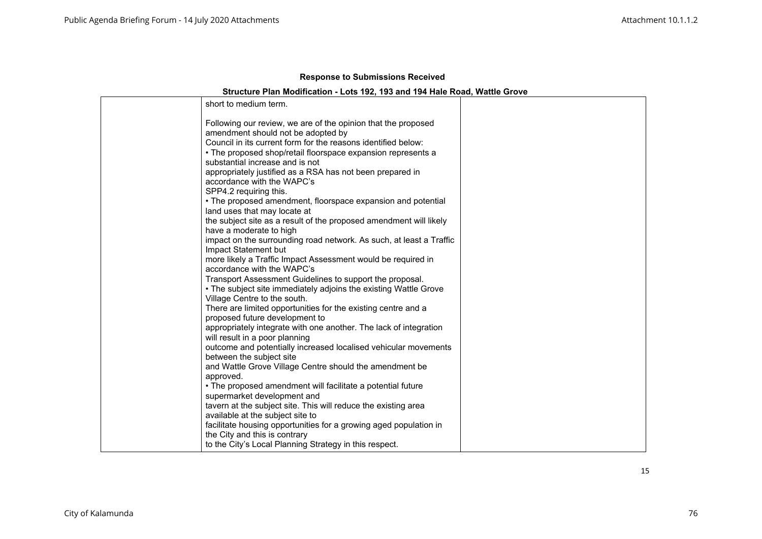## **Structure Plan Modification - Lots 192, 193 and 194 Hale Road, Wattle Grove**

| short to medium term.                                                               |  |
|-------------------------------------------------------------------------------------|--|
| Following our review, we are of the opinion that the proposed                       |  |
| amendment should not be adopted by                                                  |  |
| Council in its current form for the reasons identified below:                       |  |
| • The proposed shop/retail floorspace expansion represents a                        |  |
| substantial increase and is not                                                     |  |
| appropriately justified as a RSA has not been prepared in                           |  |
| accordance with the WAPC's                                                          |  |
| SPP4.2 requiring this.                                                              |  |
| • The proposed amendment, floorspace expansion and potential                        |  |
| land uses that may locate at                                                        |  |
| the subject site as a result of the proposed amendment will likely                  |  |
| have a moderate to high                                                             |  |
| impact on the surrounding road network. As such, at least a Traffic                 |  |
| Impact Statement but                                                                |  |
| more likely a Traffic Impact Assessment would be required in                        |  |
| accordance with the WAPC's                                                          |  |
| Transport Assessment Guidelines to support the proposal.                            |  |
| • The subject site immediately adjoins the existing Wattle Grove                    |  |
| Village Centre to the south.                                                        |  |
| There are limited opportunities for the existing centre and a                       |  |
| proposed future development to                                                      |  |
| appropriately integrate with one another. The lack of integration                   |  |
| will result in a poor planning                                                      |  |
| outcome and potentially increased localised vehicular movements                     |  |
| between the subject site<br>and Wattle Grove Village Centre should the amendment be |  |
| approved.                                                                           |  |
| . The proposed amendment will facilitate a potential future                         |  |
| supermarket development and                                                         |  |
| tavern at the subject site. This will reduce the existing area                      |  |
| available at the subject site to                                                    |  |
| facilitate housing opportunities for a growing aged population in                   |  |
| the City and this is contrary                                                       |  |
| to the City's Local Planning Strategy in this respect.                              |  |
|                                                                                     |  |